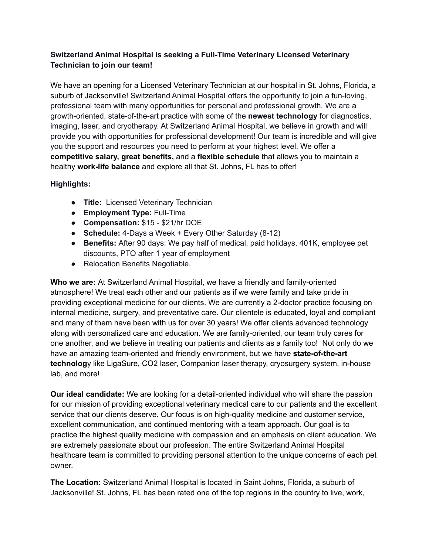## **Switzerland Animal Hospital is seeking a Full-Time Veterinary Licensed Veterinary Technician to join our team!**

We have an opening for a Licensed Veterinary Technician at our hospital in St. Johns, Florida, a suburb of Jacksonville! Switzerland Animal Hospital offers the opportunity to join a fun-loving, professional team with many opportunities for personal and professional growth. We are a growth-oriented, state-of-the-art practice with some of the **newest technology** for diagnostics, imaging, laser, and cryotherapy. At Switzerland Animal Hospital, we believe in growth and will provide you with opportunities for professional development! Our team is incredible and will give you the support and resources you need to perform at your highest level. We offer a **competitive salary, great benefits,** and a **flexible schedule** that allows you to maintain a healthy **work-life balance** and explore all that St. Johns, FL has to offer!

## **Highlights:**

- **Title:** Licensed Veterinary Technician
- **Employment Type:** Full-Time
- **Compensation:** \$15 \$21/hr DOE
- **Schedule:** 4-Days a Week + Every Other Saturday (8-12)
- **Benefits:** After 90 days: We pay half of medical, paid holidays, 401K, employee pet discounts, PTO after 1 year of employment
- Relocation Benefits Negotiable.

**Who we are:** At Switzerland Animal Hospital, we have a friendly and family-oriented atmosphere! We treat each other and our patients as if we were family and take pride in providing exceptional medicine for our clients. We are currently a 2-doctor practice focusing on internal medicine, surgery, and preventative care. Our clientele is educated, loyal and compliant and many of them have been with us for over 30 years! We offer clients advanced technology along with personalized care and education. We are family-oriented, our team truly cares for one another, and we believe in treating our patients and clients as a family too! Not only do we have an amazing team-oriented and friendly environment, but we have **state-of-the-art technolog**y like LigaSure, CO2 laser, Companion laser therapy, cryosurgery system, in-house lab, and more!

**Our ideal candidate:** We are looking for a detail-oriented individual who will share the passion for our mission of providing exceptional veterinary medical care to our patients and the excellent service that our clients deserve. Our focus is on high-quality medicine and customer service, excellent communication, and continued mentoring with a team approach. Our goal is to practice the highest quality medicine with compassion and an emphasis on client education. We are extremely passionate about our profession. The entire Switzerland Animal Hospital healthcare team is committed to providing personal attention to the unique concerns of each pet owner.

**The Location:** Switzerland Animal Hospital is located in Saint Johns, Florida, a suburb of Jacksonville! St. Johns, FL has been rated one of the top regions in the country to live, work,